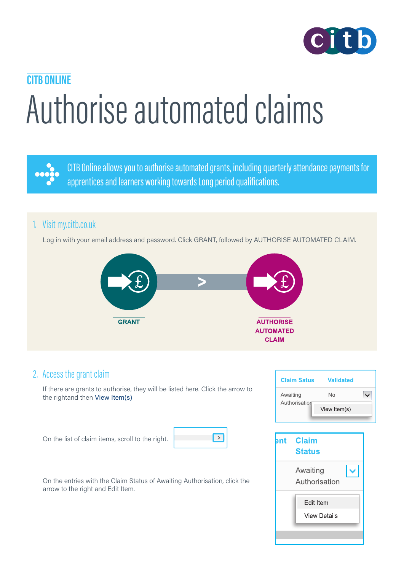

# Authorise automated claims **CITB ONLINE**



CITB Online allows you to authorise automated grants, including quarterly attendance payments for apprentices and learners working towards Long period qualifications.

### 1. Visit [my.citb.co.uk](https://my.citb.co.uk/en-US/)

Log in with your email address and password. Click GRANT, followed by AUTHORISE AUTOMATED CLAIM.



#### 2. Access the grant claim

If there are grants to authorise, they will be listed here. Click the arrow to the rightand then View Item(s)

On the list of claim items, scroll to the right.



On the entries with the Claim Status of Awaiting Authorisation, click the arrow to the right and Edit Item.

| <b>Claim Satus</b>        | Validated    |  |
|---------------------------|--------------|--|
| Awaiting<br>Authorisation | N٥           |  |
|                           | View Item(s) |  |

| ent | <b>Claim</b><br><b>Status</b>           |  |
|-----|-----------------------------------------|--|
|     | Awaiting<br>Authorisation               |  |
|     | <b>Edit Item</b><br><b>View Details</b> |  |
|     |                                         |  |